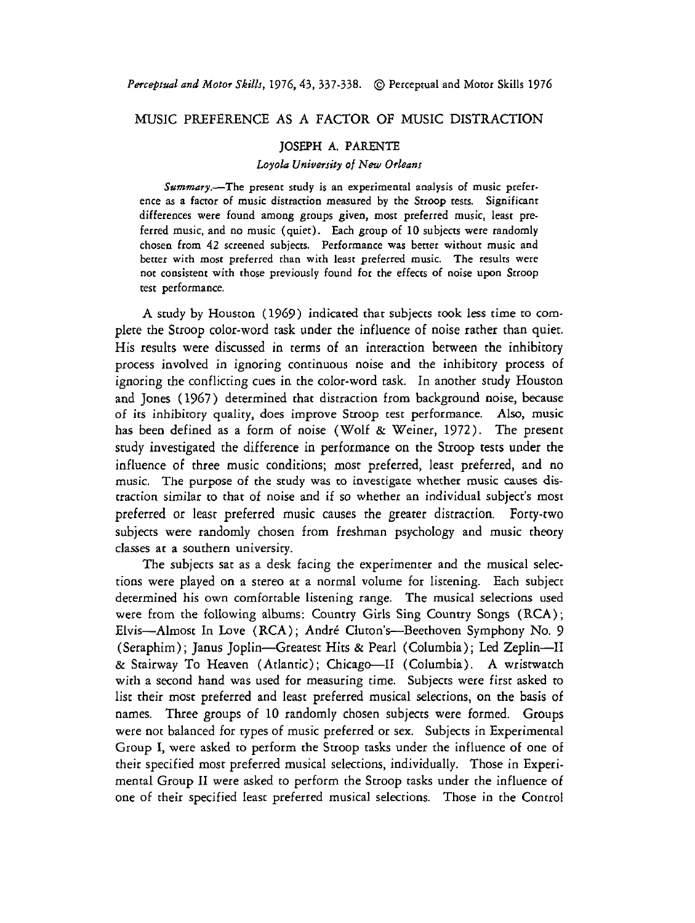## MUSIC PREFERENCE AS A FACTOR OF MUSIC DISTRACTION

## JOSEPH **A. PARENTE**

## Loyola University of New Orleans

Summary.-The present study is an experimental analysis of music preference as a factor of music distraction measured by the Stroop tests. Significant differences were found among groups given, most preferred music, least preferred music, and no music (quiet). Each group of 10 subjects were randomly chosen from **42** screened subjects. Performance was better without music and better with most preferred than with least preferred music. The results were not consistent with those previously found for the effeccs of noise upon Stroop test performance.

**A** study by Houston (1969) indicated that subjects took less time to complete the Stroop color-word task under the influence of noise rather than quiet. His results were discussed in terms of an interaction between the inhibitory process involved in ignoring continuous noise and the inhibitory process of ignoring the conflicting cues in the color-word task. In another study Houston and Jones (1967) determined that distraction from background noise, because of its inhibitory quality, does improve Stroop test performance. Also, music has been defined as a form of noise (Wolf & Weiner, 1972). The present study investigated the difference in performance on the Stroop tests under the influence of three music conditions; most preferred, least preferred, and no music. The purpose of the study was to investigate whether music causes distraction similar to that of noise and if so whether an individual subject's most preferred or least preferred music causes the greater distraction. Forty-two subjects were randomly chosen from freshman psychology and music theory classes at a southern university.

The subjects sat as a desk facing the experimenter and the musical selections were played on a stereo at a normal volume for listening. Each subject determined his own comfortable listening range. The musical selections used were from the following albums: Country Girls Sing Country Songs (RCA); Elvis--Almost In Love (RCA); André Cluton's--Beethoven Symphony No. 9 (Seraphim); Janus Joplin-Greatest Hits & Pearl (Columbia); Led Zeplin-I1 & Stairway To Heaven (Atlantic); Chicago-II (Columbia). A wristwatch with a second hand was used for measuring time. Subjects were first asked to list their most preferred and least preferred musical selections, on the basis of names. Three groups of 10 randomly chosen subjects were formed. Groups were not balanced for types of music preferred or sex. Subjects in Experimental Group I, were asked to perform the Suoop tasks under the influence of one of their specified most preferred musical selections, individually. Those in Experimental Group I1 were asked to perform the Suoop tasks under the influence of one of their specified least preferred musical selections. Those in the Control